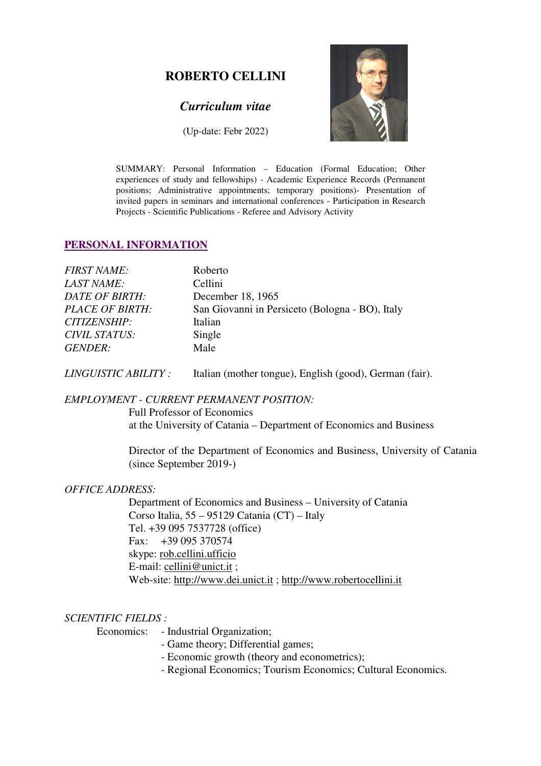## **ROBERTO CELLINI**

## *Curriculum vitae*

(Up-date: Febr 2022)



SUMMARY: Personal Information – Education (Formal Education; Other experiences of study and fellowships) - Academic Experience Records (Permanent positions; Administrative appointments; temporary positions)- Presentation of invited papers in seminars and international conferences - Participation in Research Projects - Scientific Publications - Referee and Advisory Activity

### **PERSONAL INFORMATION**

| <b>FIRST NAME:</b>     | Roberto                                         |
|------------------------|-------------------------------------------------|
| <b>LAST NAME:</b>      | Cellini                                         |
| DATE OF BIRTH:         | December 18, 1965                               |
| <b>PLACE OF BIRTH:</b> | San Giovanni in Persiceto (Bologna - BO), Italy |
| CITIZENSHIP:           | Italian                                         |
| <b>CIVIL STATUS:</b>   | Single                                          |
| <i>GENDER:</i>         | Male                                            |

*LINGUISTIC ABILITY :* Italian (mother tongue), English (good), German (fair).

#### *EMPLOYMENT - CURRENT PERMANENT POSITION:*

 Full Professor of Economics at the University of Catania – Department of Economics and Business

Director of the Department of Economics and Business, University of Catania (since September 2019-)

#### *OFFICE ADDRESS:*

Department of Economics and Business – University of Catania Corso Italia, 55 – 95129 Catania (CT) – Italy Tel. +39 095 7537728 (office) Fax: +39 095 370574 skype: rob.cellini.ufficio E-mail: cellini@unict.it ; Web-site: http://www.dei.unict.it ; http://www.robertocellini.it

#### *SCIENTIFIC FIELDS :*

Economics: - Industrial Organization;

- Game theory; Differential games;
- Economic growth (theory and econometrics);
- Regional Economics; Tourism Economics; Cultural Economics.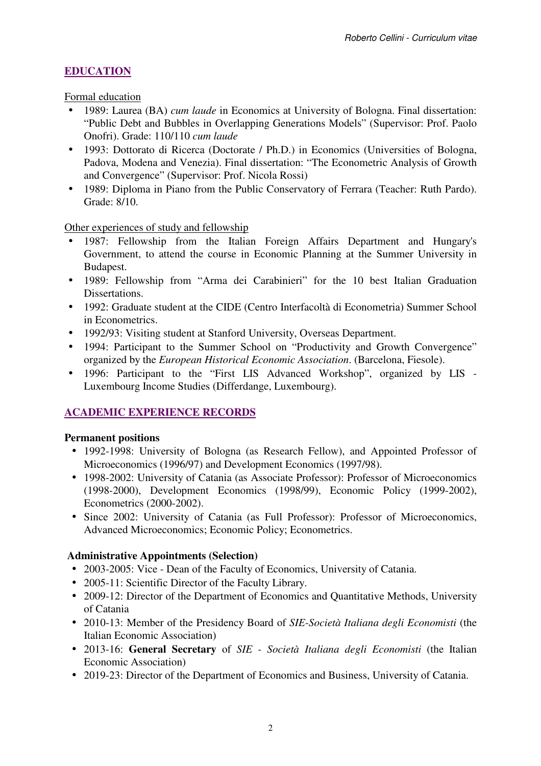# **EDUCATION**

Formal education

- 1989: Laurea (BA) *cum laude* in Economics at University of Bologna. Final dissertation: "Public Debt and Bubbles in Overlapping Generations Models" (Supervisor: Prof. Paolo Onofri). Grade: 110/110 *cum laude*
- 1993: Dottorato di Ricerca (Doctorate / Ph.D.) in Economics (Universities of Bologna, Padova, Modena and Venezia). Final dissertation: "The Econometric Analysis of Growth and Convergence" (Supervisor: Prof. Nicola Rossi)
- 1989: Diploma in Piano from the Public Conservatory of Ferrara (Teacher: Ruth Pardo). Grade: 8/10.

Other experiences of study and fellowship

- 1987: Fellowship from the Italian Foreign Affairs Department and Hungary's Government, to attend the course in Economic Planning at the Summer University in Budapest.
- 1989: Fellowship from "Arma dei Carabinieri" for the 10 best Italian Graduation Dissertations.
- 1992: Graduate student at the CIDE (Centro Interfacoltà di Econometria) Summer School in Econometrics.
- 1992/93: Visiting student at Stanford University, Overseas Department.
- 1994: Participant to the Summer School on "Productivity and Growth Convergence" organized by the *European Historical Economic Association*. (Barcelona, Fiesole).
- 1996: Participant to the "First LIS Advanced Workshop", organized by LIS Luxembourg Income Studies (Differdange, Luxembourg).

## **ACADEMIC EXPERIENCE RECORDS**

### **Permanent positions**

- 1992-1998: University of Bologna (as Research Fellow), and Appointed Professor of Microeconomics (1996/97) and Development Economics (1997/98).
- 1998-2002: University of Catania (as Associate Professor): Professor of Microeconomics (1998-2000), Development Economics (1998/99), Economic Policy (1999-2002), Econometrics (2000-2002).
- Since 2002: University of Catania (as Full Professor): Professor of Microeconomics, Advanced Microeconomics; Economic Policy; Econometrics.

### **Administrative Appointments (Selection)**

- 2003-2005: Vice Dean of the Faculty of Economics, University of Catania.
- 2005-11: Scientific Director of the Faculty Library.
- 2009-12: Director of the Department of Economics and Quantitative Methods, University of Catania
- 2010-13: Member of the Presidency Board of *SIE-Società Italiana degli Economisti* (the Italian Economic Association)
- 2013-16: **General Secretary** of *SIE Società Italiana degli Economisti* (the Italian Economic Association)
- 2019-23: Director of the Department of Economics and Business, University of Catania.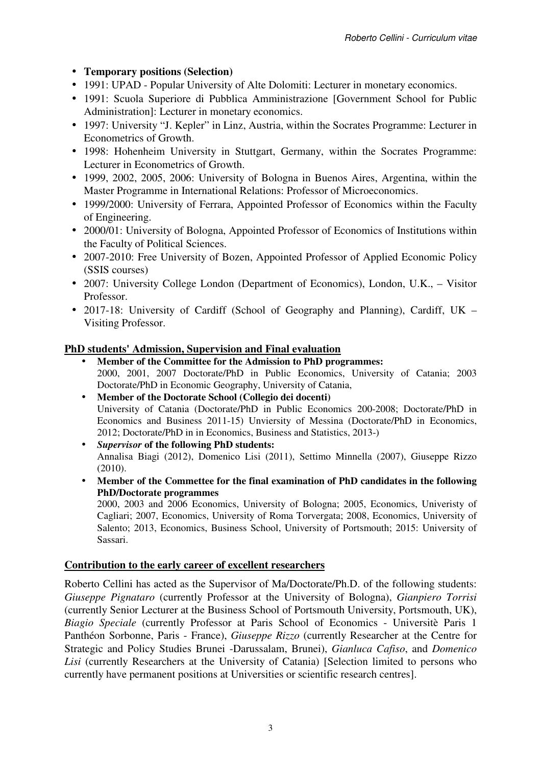## • **Temporary positions (Selection)**

- 1991: UPAD Popular University of Alte Dolomiti: Lecturer in monetary economics.
- 1991: Scuola Superiore di Pubblica Amministrazione [Government School for Public Administration]: Lecturer in monetary economics.
- 1997: University "J. Kepler" in Linz, Austria, within the Socrates Programme: Lecturer in Econometrics of Growth.
- 1998: Hohenheim University in Stuttgart, Germany, within the Socrates Programme: Lecturer in Econometrics of Growth.
- 1999, 2002, 2005, 2006: University of Bologna in Buenos Aires, Argentina, within the Master Programme in International Relations: Professor of Microeconomics.
- 1999/2000: University of Ferrara, Appointed Professor of Economics within the Faculty of Engineering.
- 2000/01: University of Bologna, Appointed Professor of Economics of Institutions within the Faculty of Political Sciences.
- 2007-2010: Free University of Bozen, Appointed Professor of Applied Economic Policy (SSIS courses)
- 2007: University College London (Department of Economics), London, U.K., Visitor Professor.
- 2017-18: University of Cardiff (School of Geography and Planning), Cardiff, UK Visiting Professor.

### **PhD students' Admission, Supervision and Final evaluation**

- **Member of the Committee for the Admission to PhD programmes:**  2000, 2001, 2007 Doctorate/PhD in Public Economics, University of Catania; 2003 Doctorate/PhD in Economic Geography, University of Catania,
- **Member of the Doctorate School (Collegio dei docenti)**  University of Catania (Doctorate/PhD in Public Economics 200-2008; Doctorate/PhD in Economics and Business 2011-15) Unviersity of Messina (Doctorate/PhD in Economics, 2012; Doctorate/PhD in in Economics, Business and Statistics, 2013-)
- *Supervisor* **of the following PhD students:**  Annalisa Biagi (2012), Domenico Lisi (2011), Settimo Minnella (2007), Giuseppe Rizzo (2010).
- **Member of the Commettee for the final examination of PhD candidates in the following PhD/Doctorate programmes**

2000, 2003 and 2006 Economics, University of Bologna; 2005, Economics, Univeristy of Cagliari; 2007, Economics, University of Roma Torvergata; 2008, Economics, University of Salento; 2013, Economics, Business School, University of Portsmouth; 2015: University of Sassari.

### **Contribution to the early career of excellent researchers**

Roberto Cellini has acted as the Supervisor of Ma/Doctorate/Ph.D. of the following students: *Giuseppe Pignataro* (currently Professor at the University of Bologna), *Gianpiero Torrisi* (currently Senior Lecturer at the Business School of Portsmouth University, Portsmouth, UK), *Biagio Speciale* (currently Professor at Paris School of Economics - Universitè Paris 1 Panthéon Sorbonne, Paris - France), *Giuseppe Rizzo* (currently Researcher at the Centre for Strategic and Policy Studies Brunei -Darussalam, Brunei), *Gianluca Cafiso*, and *Domenico Lisi* (currently Researchers at the University of Catania) [Selection limited to persons who currently have permanent positions at Universities or scientific research centres].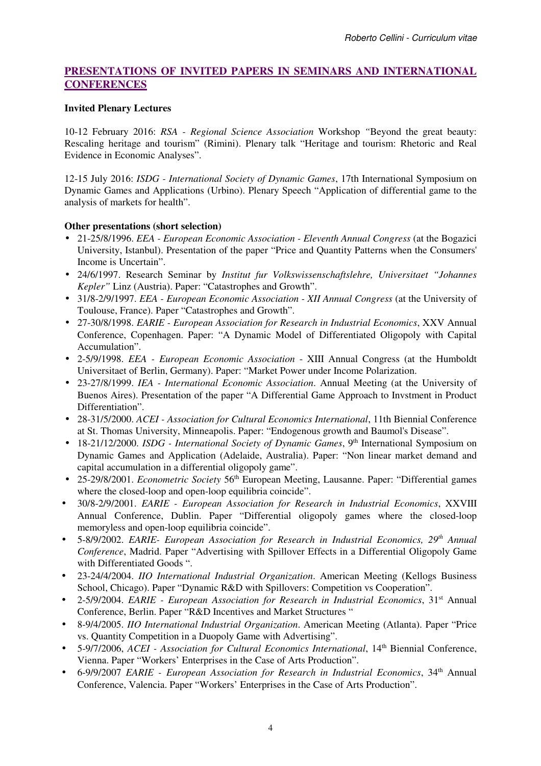### **PRESENTATIONS OF INVITED PAPERS IN SEMINARS AND INTERNATIONAL CONFERENCES**

#### **Invited Plenary Lectures**

10-12 February 2016: *RSA - Regional Science Association* Workshop *"*Beyond the great beauty: Rescaling heritage and tourism" (Rimini). Plenary talk "Heritage and tourism: Rhetoric and Real Evidence in Economic Analyses".

12-15 July 2016: *ISDG - International Society of Dynamic Games*, 17th International Symposium on Dynamic Games and Applications (Urbino). Plenary Speech "Application of differential game to the analysis of markets for health".

#### **Other presentations (short selection)**

- 21-25/8/1996. *EEA European Economic Association Eleventh Annual Congress* (at the Bogazici University, Istanbul). Presentation of the paper "Price and Quantity Patterns when the Consumers' Income is Uncertain".
- 24/6/1997. Research Seminar by *Institut fur Volkswissenschaftslehre, Universitaet "Johannes Kepler"* Linz (Austria). Paper: "Catastrophes and Growth".
- 31/8-2/9/1997. *EEA European Economic Association XII Annual Congress* (at the University of Toulouse, France). Paper "Catastrophes and Growth".
- 27-30/8/1998. *EARIE European Association for Research in Industrial Economics*, XXV Annual Conference, Copenhagen. Paper: "A Dynamic Model of Differentiated Oligopoly with Capital Accumulation".
- 2-5/9/1998. *EEA European Economic Association* XIII Annual Congress (at the Humboldt Universitaet of Berlin, Germany). Paper: "Market Power under Income Polarization.
- 23-27/8/1999. *IEA International Economic Association*. Annual Meeting (at the University of Buenos Aires). Presentation of the paper "A Differential Game Approach to Invstment in Product Differentiation".
- 28-31/5/2000. *ACEI Association for Cultural Economics International*, 11th Biennial Conference at St. Thomas University, Minneapolis. Paper: "Endogenous growth and Baumol's Disease".
- 18-21/12/2000. *ISDG International Society of Dynamic Games*, 9<sup>th</sup> International Symposium on Dynamic Games and Application (Adelaide, Australia). Paper: "Non linear market demand and capital accumulation in a differential oligopoly game".
- 25-29/8/2001. *Econometric Society* 56<sup>th</sup> European Meeting, Lausanne. Paper: "Differential games" where the closed-loop and open-loop equilibria coincide".
- 30/8-2/9/2001. *EARIE European Association for Research in Industrial Economics*, XXVIII Annual Conference, Dublin. Paper "Differential oligopoly games where the closed-loop memoryless and open-loop equilibria coincide".
- 5-8/9/2002. *EARIE- European Association for Research in Industrial Economics, 29th Annual Conference*, Madrid. Paper "Advertising with Spillover Effects in a Differential Oligopoly Game with Differentiated Goods ".
- 23-24/4/2004. *IIO International Industrial Organization*. American Meeting (Kellogs Business School, Chicago). Paper "Dynamic R&D with Spillovers: Competition vs Cooperation".
- 2-5/9/2004. *EARIE European Association for Research in Industrial Economics*, 31st Annual Conference, Berlin. Paper "R&D Incentives and Market Structures "
- 8-9/4/2005. *IIO International Industrial Organization*. American Meeting (Atlanta). Paper "Price vs. Quantity Competition in a Duopoly Game with Advertising".
- 5-9/7/2006, *ACEI Association for Cultural Economics International*, 14th Biennial Conference, Vienna. Paper "Workers' Enterprises in the Case of Arts Production".
- 6-9/9/2007 *EARIE European Association for Research in Industrial Economics*, 34th Annual Conference, Valencia. Paper "Workers' Enterprises in the Case of Arts Production".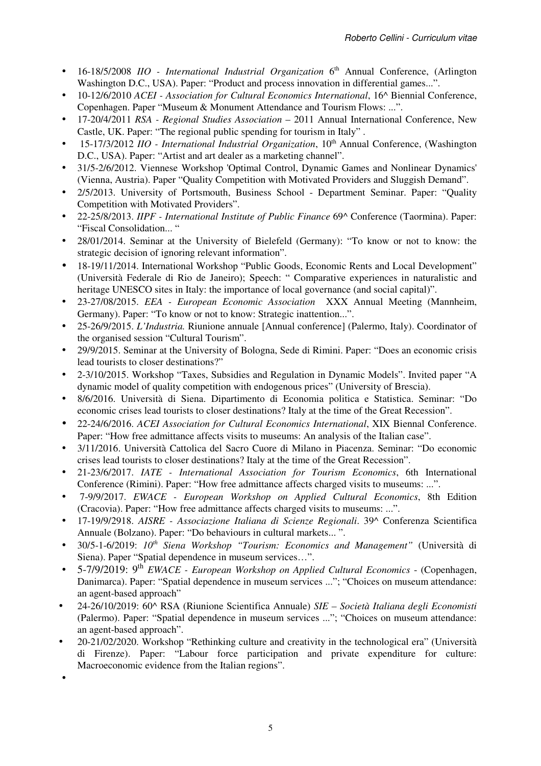- 16-18/5/2008 *IIO International Industrial Organization* 6<sup>th</sup> Annual Conference, (Arlington Washington D.C., USA). Paper: "Product and process innovation in differential games...".
- 10-12/6/2010 *ACEI Association for Cultural Economics International*, 16^ Biennial Conference, Copenhagen. Paper "Museum & Monument Attendance and Tourism Flows: ...".
- 17-20/4/2011 *RSA Regional Studies Association* 2011 Annual International Conference, New Castle, UK. Paper: "The regional public spending for tourism in Italy" .
- 15-17/3/2012 *IIO International Industrial Organization*, 10<sup>th</sup> Annual Conference, (Washington D.C., USA). Paper: "Artist and art dealer as a marketing channel".
- 31/5-2/6/2012. Viennese Workshop 'Optimal Control, Dynamic Games and Nonlinear Dynamics' (Vienna, Austria). Paper "Quality Competition with Motivated Providers and Sluggish Demand".
- 2/5/2013. University of Portsmouth, Business School Department Seminar. Paper: "Quality Competition with Motivated Providers".
- 22-25/8/2013. *IIPF International Institute of Public Finance* 69^ Conference (Taormina). Paper: "Fiscal Consolidation... "
- 28/01/2014. Seminar at the University of Bielefeld (Germany): "To know or not to know: the strategic decision of ignoring relevant information".
- 18-19/11/2014. International Workshop "Public Goods, Economic Rents and Local Development" (Università Federale di Rio de Janeiro); Speech: " Comparative experiences in naturalistic and heritage UNESCO sites in Italy: the importance of local governance (and social capital)".
- 23-27/08/2015. *EEA European Economic Association* XXX Annual Meeting (Mannheim, Germany). Paper: "To know or not to know: Strategic inattention...".
- 25-26/9/2015. *L'Industria.* Riunione annuale [Annual conference] (Palermo, Italy). Coordinator of the organised session "Cultural Tourism".
- 29/9/2015. Seminar at the University of Bologna, Sede di Rimini. Paper: "Does an economic crisis lead tourists to closer destinations?"
- 2-3/10/2015. Workshop "Taxes, Subsidies and Regulation in Dynamic Models". Invited paper "A dynamic model of quality competition with endogenous prices" (University of Brescia).
- 8/6/2016. Università di Siena. Dipartimento di Economia politica e Statistica. Seminar: "Do economic crises lead tourists to closer destinations? Italy at the time of the Great Recession".
- 22-24/6/2016. *ACEI Association for Cultural Economics International*, XIX Biennal Conference. Paper: "How free admittance affects visits to museums: An analysis of the Italian case".
- 3/11/2016. Università Cattolica del Sacro Cuore di Milano in Piacenza. Seminar: "Do economic crises lead tourists to closer destinations? Italy at the time of the Great Recession".
- 21-23/6/2017. *IATE International Association for Tourism Economics*, 6th International Conference (Rimini). Paper: "How free admittance affects charged visits to museums: ...".
- 7-9/9/2017. *EWACE European Workshop on Applied Cultural Economics*, 8th Edition (Cracovia). Paper: "How free admittance affects charged visits to museums: ...".
- 17-19/9/2918. *AISRE Associazione Italiana di Scienze Regionali*. 39^ Conferenza Scientifica Annuale (Bolzano). Paper: "Do behaviours in cultural markets... ".
- 30/5-1-6/2019: *10th Siena Workshop "Tourism: Economics and Management"* (Università di Siena). Paper "Spatial dependence in museum services…".
- 5-7/9/2019: 9th *EWACE European Workshop on Applied Cultural Economics* (Copenhagen, Danimarca). Paper: "Spatial dependence in museum services ..."; "Choices on museum attendance: an agent-based approach"
- 24-26/10/2019: 60^ RSA (Riunione Scientifica Annuale) *SIE Società Italiana degli Economisti*  (Palermo). Paper: "Spatial dependence in museum services ..."; "Choices on museum attendance: an agent-based approach".
- 20-21/02/2020. Workshop "Rethinking culture and creativity in the technological era" (Università di Firenze). Paper: "Labour force participation and private expenditure for culture: Macroeconomic evidence from the Italian regions".
- •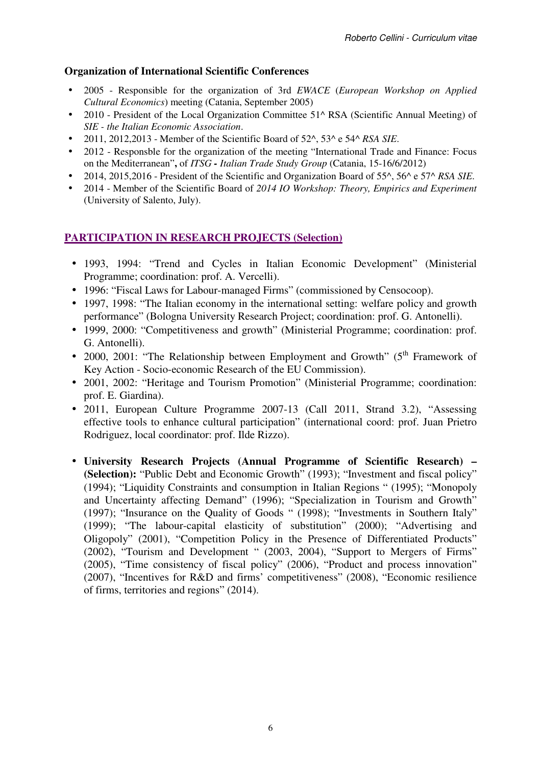### **Organization of International Scientific Conferences**

- 2005 Responsible for the organization of 3rd *EWACE* (*European Workshop on Applied Cultural Economics*) meeting (Catania, September 2005)
- 2010 President of the Local Organization Committee 51^ RSA (Scientific Annual Meeting) of *SIE - the Italian Economic Association*.
- 2011, 2012,2013 Member of the Scientific Board of 52^, 53^ e 54^ *RSA SIE*.
- 2012 Responsble for the organization of the meeting "International Trade and Finance: Focus on the Mediterranean"**,** of *ITSG - Italian Trade Study Group* (Catania, 15-16/6/2012)
- 2014, 2015,2016 President of the Scientific and Organization Board of 55^, 56^ e 57^ *RSA SIE*.
- 2014 Member of the Scientific Board of *2014 IO Workshop: Theory, Empirics and Experiment*  (University of Salento, July).

### **PARTICIPATION IN RESEARCH PROJECTS (Selection)**

- 1993, 1994: "Trend and Cycles in Italian Economic Development" (Ministerial Programme; coordination: prof. A. Vercelli).
- 1996: "Fiscal Laws for Labour-managed Firms" (commissioned by Censocoop).
- 1997, 1998: "The Italian economy in the international setting: welfare policy and growth performance" (Bologna University Research Project; coordination: prof. G. Antonelli).
- 1999, 2000: "Competitiveness and growth" (Ministerial Programme; coordination: prof. G. Antonelli).
- 2000, 2001: "The Relationship between Employment and Growth" ( $5<sup>th</sup>$  Framework of Key Action - Socio-economic Research of the EU Commission).
- 2001, 2002: "Heritage and Tourism Promotion" (Ministerial Programme; coordination: prof. E. Giardina).
- 2011, European Culture Programme 2007-13 (Call 2011, Strand 3.2), "Assessing effective tools to enhance cultural participation" (international coord: prof. Juan Prietro Rodriguez, local coordinator: prof. Ilde Rizzo).
- **University Research Projects (Annual Programme of Scientific Research) (Selection):** "Public Debt and Economic Growth" (1993); "Investment and fiscal policy" (1994); "Liquidity Constraints and consumption in Italian Regions " (1995); "Monopoly and Uncertainty affecting Demand" (1996); "Specialization in Tourism and Growth" (1997); "Insurance on the Quality of Goods " (1998); "Investments in Southern Italy" (1999); "The labour-capital elasticity of substitution" (2000); "Advertising and Oligopoly" (2001), "Competition Policy in the Presence of Differentiated Products" (2002), "Tourism and Development " (2003, 2004), "Support to Mergers of Firms" (2005), "Time consistency of fiscal policy" (2006), "Product and process innovation" (2007), "Incentives for R&D and firms' competitiveness" (2008), "Economic resilience of firms, territories and regions" (2014).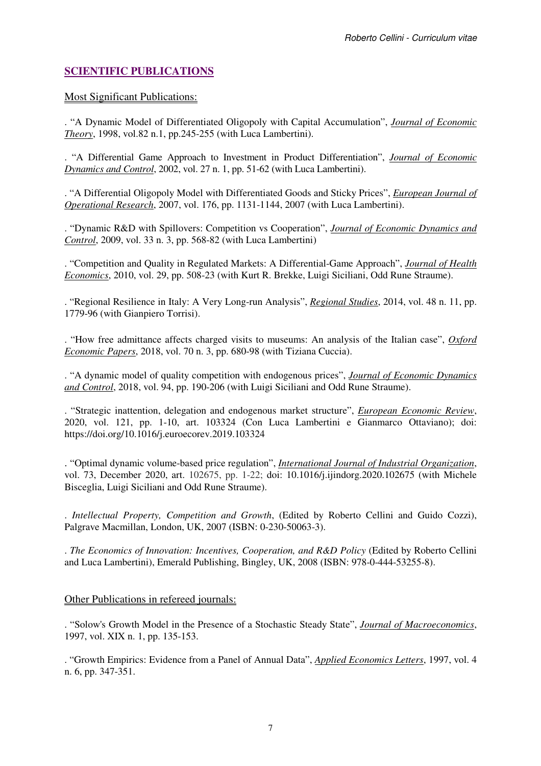### **SCIENTIFIC PUBLICATIONS**

#### Most Significant Publications:

. "A Dynamic Model of Differentiated Oligopoly with Capital Accumulation", *Journal of Economic Theory*, 1998, vol.82 n.1, pp.245-255 (with Luca Lambertini).

. "A Differential Game Approach to Investment in Product Differentiation", *Journal of Economic Dynamics and Control*, 2002, vol. 27 n. 1, pp. 51-62 (with Luca Lambertini).

. "A Differential Oligopoly Model with Differentiated Goods and Sticky Prices", *European Journal of Operational Research*, 2007, vol. 176, pp. 1131-1144, 2007 (with Luca Lambertini).

. "Dynamic R&D with Spillovers: Competition vs Cooperation", *Journal of Economic Dynamics and Control*, 2009, vol. 33 n. 3, pp. 568-82 (with Luca Lambertini)

. "Competition and Quality in Regulated Markets: A Differential-Game Approach", *Journal of Health Economics*, 2010, vol. 29, pp. 508-23 (with Kurt R. Brekke, Luigi Siciliani, Odd Rune Straume).

. "Regional Resilience in Italy: A Very Long-run Analysis", *Regional Studies*, 2014, vol. 48 n. 11, pp. 1779-96 (with Gianpiero Torrisi).

. "How free admittance affects charged visits to museums: An analysis of the Italian case", *Oxford Economic Papers*, 2018, vol. 70 n. 3, pp. 680-98 (with Tiziana Cuccia).

. "A dynamic model of quality competition with endogenous prices", *Journal of Economic Dynamics and Control*, 2018, vol. 94, pp. 190-206 (with Luigi Siciliani and Odd Rune Straume).

. "Strategic inattention, delegation and endogenous market structure", *European Economic Review*, 2020, vol. 121, pp. 1-10, art. 103324 (Con Luca Lambertini e Gianmarco Ottaviano); doi: https://doi.org/10.1016/j.euroecorev.2019.103324

. "Optimal dynamic volume-based price regulation", *International Journal of Industrial Organization*, vol. 73, December 2020, art. 102675, pp. 1-22; doi: 10.1016/j.ijindorg.2020.102675 (with Michele Bisceglia, Luigi Siciliani and Odd Rune Straume).

. *Intellectual Property, Competition and Growth*, (Edited by Roberto Cellini and Guido Cozzi), Palgrave Macmillan, London, UK, 2007 (ISBN: 0-230-50063-3).

. *The Economics of Innovation: Incentives, Cooperation, and R&D Policy* (Edited by Roberto Cellini and Luca Lambertini), Emerald Publishing, Bingley, UK, 2008 (ISBN: 978-0-444-53255-8).

### Other Publications in refereed journals:

. "Solow's Growth Model in the Presence of a Stochastic Steady State", *Journal of Macroeconomics*, 1997, vol. XIX n. 1, pp. 135-153.

. "Growth Empirics: Evidence from a Panel of Annual Data", *Applied Economics Letters*, 1997, vol. 4 n. 6, pp. 347-351.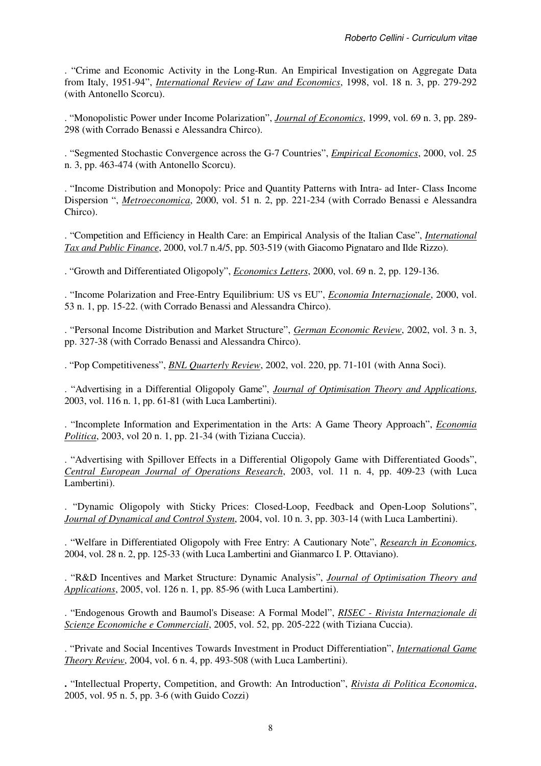. "Crime and Economic Activity in the Long-Run. An Empirical Investigation on Aggregate Data from Italy, 1951-94", *International Review of Law and Economics*, 1998, vol. 18 n. 3, pp. 279-292 (with Antonello Scorcu).

. "Monopolistic Power under Income Polarization", *Journal of Economics*, 1999, vol. 69 n. 3, pp. 289- 298 (with Corrado Benassi e Alessandra Chirco).

. "Segmented Stochastic Convergence across the G-7 Countries", *Empirical Economics*, 2000, vol. 25 n. 3, pp. 463-474 (with Antonello Scorcu).

. "Income Distribution and Monopoly: Price and Quantity Patterns with Intra- ad Inter- Class Income Dispersion ", *Metroeconomica*, 2000, vol. 51 n. 2, pp. 221-234 (with Corrado Benassi e Alessandra Chirco).

. "Competition and Efficiency in Health Care: an Empirical Analysis of the Italian Case", *International Tax and Public Finance*, 2000, vol.7 n.4/5, pp. 503-519 (with Giacomo Pignataro and Ilde Rizzo).

. "Growth and Differentiated Oligopoly", *Economics Letters*, 2000, vol. 69 n. 2, pp. 129-136.

. "Income Polarization and Free-Entry Equilibrium: US vs EU", *Economia Internazionale*, 2000, vol. 53 n. 1, pp. 15-22. (with Corrado Benassi and Alessandra Chirco).

. "Personal Income Distribution and Market Structure", *German Economic Review*, 2002, vol. 3 n. 3, pp. 327-38 (with Corrado Benassi and Alessandra Chirco).

. "Pop Competitiveness", *BNL Quarterly Review*, 2002, vol. 220, pp. 71-101 (with Anna Soci).

. "Advertising in a Differential Oligopoly Game", *Journal of Optimisation Theory and Applications*, 2003, vol. 116 n. 1, pp. 61-81 (with Luca Lambertini).

. "Incomplete Information and Experimentation in the Arts: A Game Theory Approach", *Economia Politica*, 2003, vol 20 n. 1, pp. 21-34 (with Tiziana Cuccia).

. "Advertising with Spillover Effects in a Differential Oligopoly Game with Differentiated Goods", *Central European Journal of Operations Research*, 2003, vol. 11 n. 4, pp. 409-23 (with Luca Lambertini).

. "Dynamic Oligopoly with Sticky Prices: Closed-Loop, Feedback and Open-Loop Solutions", *Journal of Dynamical and Control System*, 2004, vol. 10 n. 3, pp. 303-14 (with Luca Lambertini).

. "Welfare in Differentiated Oligopoly with Free Entry: A Cautionary Note", *Research in Economics*, 2004, vol. 28 n. 2, pp. 125-33 (with Luca Lambertini and Gianmarco I. P. Ottaviano).

. "R&D Incentives and Market Structure: Dynamic Analysis", *Journal of Optimisation Theory and Applications*, 2005, vol. 126 n. 1, pp. 85-96 (with Luca Lambertini).

. "Endogenous Growth and Baumol's Disease: A Formal Model", *RISEC - Rivista Internazionale di Scienze Economiche e Commerciali*, 2005, vol. 52, pp. 205-222 (with Tiziana Cuccia).

. "Private and Social Incentives Towards Investment in Product Differentiation", *International Game Theory Review*, 2004, vol. 6 n. 4, pp. 493-508 (with Luca Lambertini).

**.** "Intellectual Property, Competition, and Growth: An Introduction", *Rivista di Politica Economica*, 2005, vol. 95 n. 5, pp. 3-6 (with Guido Cozzi)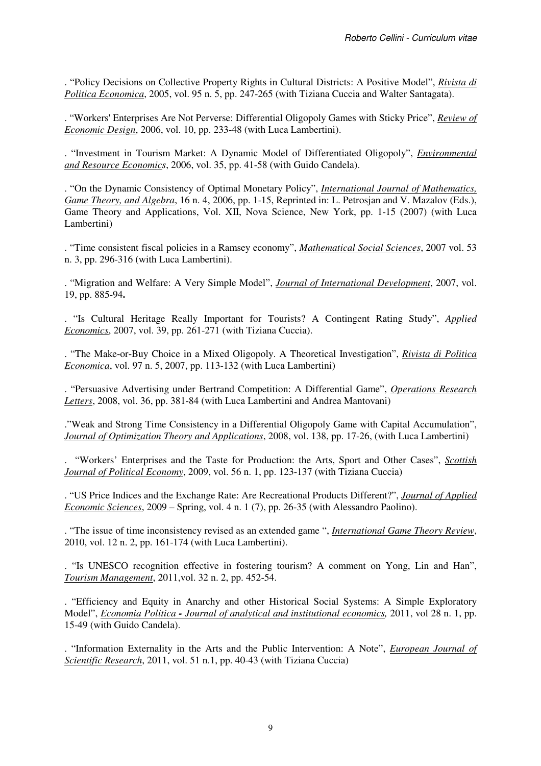. "Policy Decisions on Collective Property Rights in Cultural Districts: A Positive Model", *Rivista di Politica Economica*, 2005, vol. 95 n. 5, pp. 247-265 (with Tiziana Cuccia and Walter Santagata).

. "Workers' Enterprises Are Not Perverse: Differential Oligopoly Games with Sticky Price", *Review of Economic Design*, 2006, vol. 10, pp. 233-48 (with Luca Lambertini).

. "Investment in Tourism Market: A Dynamic Model of Differentiated Oligopoly", *Environmental and Resource Economics*, 2006, vol. 35, pp. 41-58 (with Guido Candela).

. "On the Dynamic Consistency of Optimal Monetary Policy", *International Journal of Mathematics, Game Theory, and Algebra*, 16 n. 4, 2006, pp. 1-15, Reprinted in: L. Petrosjan and V. Mazalov (Eds.), Game Theory and Applications, Vol. XII, Nova Science, New York, pp. 1-15 (2007) (with Luca Lambertini)

. "Time consistent fiscal policies in a Ramsey economy", *Mathematical Social Sciences*, 2007 vol. 53 n. 3, pp. 296-316 (with Luca Lambertini).

. "Migration and Welfare: A Very Simple Model", *Journal of International Development*, 2007, vol. 19, pp. 885-94**.** 

. "Is Cultural Heritage Really Important for Tourists? A Contingent Rating Study", *Applied Economics*, 2007, vol. 39, pp. 261-271 (with Tiziana Cuccia).

. "The Make-or-Buy Choice in a Mixed Oligopoly. A Theoretical Investigation", *Rivista di Politica Economica*, vol. 97 n. 5, 2007, pp. 113-132 (with Luca Lambertini)

. "Persuasive Advertising under Bertrand Competition: A Differential Game", *Operations Research Letters*, 2008, vol. 36, pp. 381-84 (with Luca Lambertini and Andrea Mantovani)

."Weak and Strong Time Consistency in a Differential Oligopoly Game with Capital Accumulation", *Journal of Optimization Theory and Applications*, 2008, vol. 138, pp. 17-26, (with Luca Lambertini)

. "Workers' Enterprises and the Taste for Production: the Arts, Sport and Other Cases", *Scottish Journal of Political Economy*, 2009, vol. 56 n. 1, pp. 123-137 (with Tiziana Cuccia)

. "US Price Indices and the Exchange Rate: Are Recreational Products Different?", *Journal of Applied Economic Sciences*, 2009 – Spring, vol. 4 n. 1 (7), pp. 26-35 (with Alessandro Paolino).

. "The issue of time inconsistency revised as an extended game ", *International Game Theory Review*, 2010, vol. 12 n. 2, pp. 161-174 (with Luca Lambertini).

. "Is UNESCO recognition effective in fostering tourism? A comment on Yong, Lin and Han", *Tourism Management*, 2011,vol. 32 n. 2, pp. 452-54.

. "Efficiency and Equity in Anarchy and other Historical Social Systems: A Simple Exploratory Model", *Economia Politica - Journal of analytical and institutional economics,* 2011, vol 28 n. 1, pp. 15-49 (with Guido Candela).

. "Information Externality in the Arts and the Public Intervention: A Note", *European Journal of Scientific Research*, 2011, vol. 51 n.1, pp. 40-43 (with Tiziana Cuccia)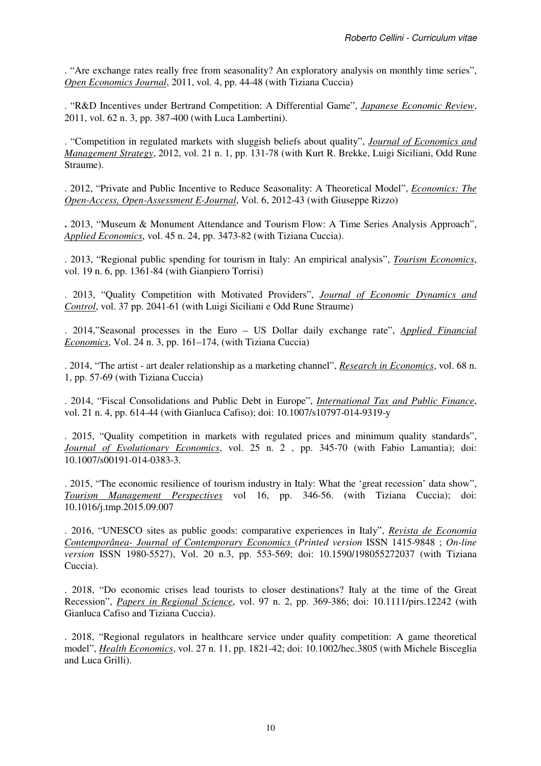. "Are exchange rates really free from seasonality? An exploratory analysis on monthly time series", *Open Economics Journal*, 2011, vol. 4, pp. 44-48 (with Tiziana Cuccia)

. "R&D Incentives under Bertrand Competition: A Differential Game", *Japanese Economic Review*, 2011, vol. 62 n. 3, pp. 387-400 (with Luca Lambertini).

. "Competition in regulated markets with sluggish beliefs about quality", *Journal of Economics and Management Strategy*, 2012, vol. 21 n. 1, pp. 131-78 (with Kurt R. Brekke, Luigi Siciliani, Odd Rune Straume).

. 2012, "Private and Public Incentive to Reduce Seasonality: A Theoretical Model", *Economics: The Open-Access, Open-Assessment E-Journal*, Vol. 6, 2012-43 (with Giuseppe Rizzo)

**.** 2013, "Museum & Monument Attendance and Tourism Flow: A Time Series Analysis Approach", *Applied Economics*, vol. 45 n. 24, pp. 3473-82 (with Tiziana Cuccia).

. 2013, "Regional public spending for tourism in Italy: An empirical analysis", *Tourism Economics*, vol. 19 n. 6, pp. 1361-84 (with Gianpiero Torrisi)

. 2013, "Quality Competition with Motivated Providers", *Journal of Economic Dynamics and Control*, vol. 37 pp. 2041-61 (with Luigi Siciliani e Odd Rune Straume)

. 2014,"Seasonal processes in the Euro – US Dollar daily exchange rate", *Applied Financial Economics*, Vol. 24 n. 3, pp. 161–174, (with Tiziana Cuccia)

. 2014, "The artist - art dealer relationship as a marketing channel", *Research in Economics*, vol. 68 n. 1, pp. 57-69 (with Tiziana Cuccia)

. 2014, "Fiscal Consolidations and Public Debt in Europe", *International Tax and Public Finance*, vol. 21 n. 4, pp. 614-44 (with Gianluca Cafiso); doi: 10.1007/s10797-014-9319-y

. 2015, "Quality competition in markets with regulated prices and minimum quality standards", *Journal of Evolutionary Economics*, vol. 25 n. 2 , pp. 345-70 (with Fabio Lamantia); doi: 10.1007/s00191-014-0383-3.

. 2015, "The economic resilience of tourism industry in Italy: What the 'great recession' data show", *Tourism Management Perspectives* vol 16, pp. 346-56. (with Tiziana Cuccia); doi: 10.1016/j.tmp.2015.09.007

. 2016, "UNESCO sites as public goods: comparative experiences in Italy", *Revista de Economia Contemporânea- Journal of Contemporary Economics* (*Printed version* ISSN 1415-9848 ; *On-line version* ISSN 1980-5527), Vol. 20 n.3, pp. 553-569; doi: 10.1590/198055272037 (with Tiziana Cuccia).

. 2018, "Do economic crises lead tourists to closer destinations? Italy at the time of the Great Recession", *Papers in Regional Science*, vol. 97 n. 2, pp. 369-386; doi: 10.1111/pirs.12242 (with Gianluca Cafiso and Tiziana Cuccia).

. 2018, "Regional regulators in healthcare service under quality competition: A game theoretical model", *Health Economics*, vol. 27 n. 11, pp. 1821-42; doi: 10.1002/hec.3805 (with Michele Bisceglia and Luca Grilli).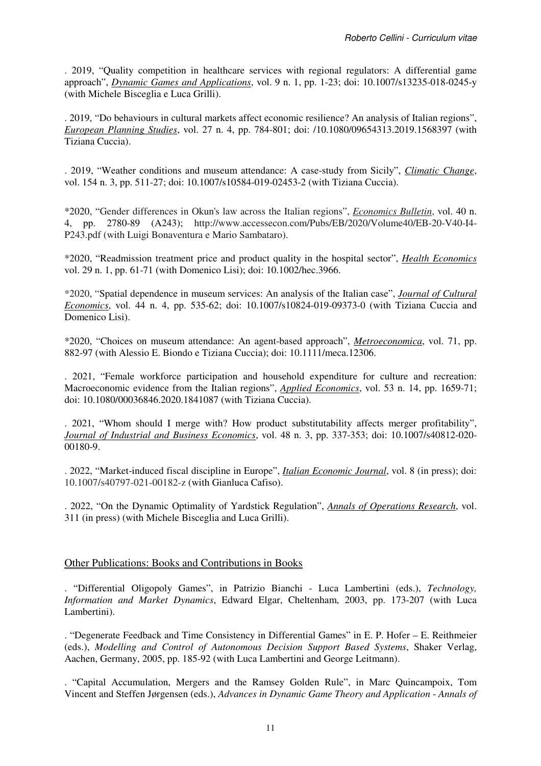. 2019, "Quality competition in healthcare services with regional regulators: A differential game approach", *Dynamic Games and Applications*, vol. 9 n. 1, pp. 1-23; doi: 10.1007/s13235-018-0245-y (with Michele Bisceglia e Luca Grilli).

. 2019, "Do behaviours in cultural markets affect economic resilience? An analysis of Italian regions", *European Planning Studies*, vol. 27 n. 4, pp. 784-801; doi: /10.1080/09654313.2019.1568397 (with Tiziana Cuccia).

. 2019, "Weather conditions and museum attendance: A case-study from Sicily", *Climatic Change*, vol. 154 n. 3, pp. 511-27; doi: 10.1007/s10584-019-02453-2 (with Tiziana Cuccia).

\*2020, "Gender differences in Okun's law across the Italian regions", *Economics Bulletin*, vol. 40 n. 4, pp. 2780-89 (A243); http://www.accessecon.com/Pubs/EB/2020/Volume40/EB-20-V40-I4- P243.pdf (with Luigi Bonaventura e Mario Sambataro).

\*2020, "Readmission treatment price and product quality in the hospital sector", *Health Economics* vol. 29 n. 1, pp. 61-71 (with Domenico Lisi); doi: 10.1002/hec.3966.

\*2020, "Spatial dependence in museum services: An analysis of the Italian case", *Journal of Cultural Economics*, vol. 44 n. 4, pp. 535-62; doi: 10.1007/s10824-019-09373-0 (with Tiziana Cuccia and Domenico Lisi).

\*2020, "Choices on museum attendance: An agent-based approach", *Metroeconomica*, vol. 71, pp. 882-97 (with Alessio E. Biondo e Tiziana Cuccia); doi: 10.1111/meca.12306.

. 2021, "Female workforce participation and household expenditure for culture and recreation: Macroeconomic evidence from the Italian regions", *Applied Economics*, vol. 53 n. 14, pp. 1659-71; doi: 10.1080/00036846.2020.1841087 (with Tiziana Cuccia).

. 2021, "Whom should I merge with? How product substitutability affects merger profitability", *Journal of Industrial and Business Economics*, vol. 48 n. 3, pp. 337-353; doi: 10.1007/s40812-020- 00180-9.

. 2022, "Market-induced fiscal discipline in Europe", *Italian Economic Journal*, vol. 8 (in press); doi: 10.1007/s40797-021-00182-z (with Gianluca Cafiso).

. 2022, "On the Dynamic Optimality of Yardstick Regulation", *Annals of Operations Research*, vol. 311 (in press) (with Michele Bisceglia and Luca Grilli).

### Other Publications: Books and Contributions in Books

. "Differential Oligopoly Games", in Patrizio Bianchi - Luca Lambertini (eds.), *Technology, Information and Market Dynamics*, Edward Elgar, Cheltenham, 2003, pp. 173-207 (with Luca Lambertini).

. "Degenerate Feedback and Time Consistency in Differential Games" in E. P. Hofer – E. Reithmeier (eds.), *Modelling and Control of Autonomous Decision Support Based Systems*, Shaker Verlag, Aachen, Germany, 2005, pp. 185-92 (with Luca Lambertini and George Leitmann).

. "Capital Accumulation, Mergers and the Ramsey Golden Rule", in Marc Quincampoix, Tom Vincent and Steffen Jørgensen (eds.), *Advances in Dynamic Game Theory and Application* - *Annals of*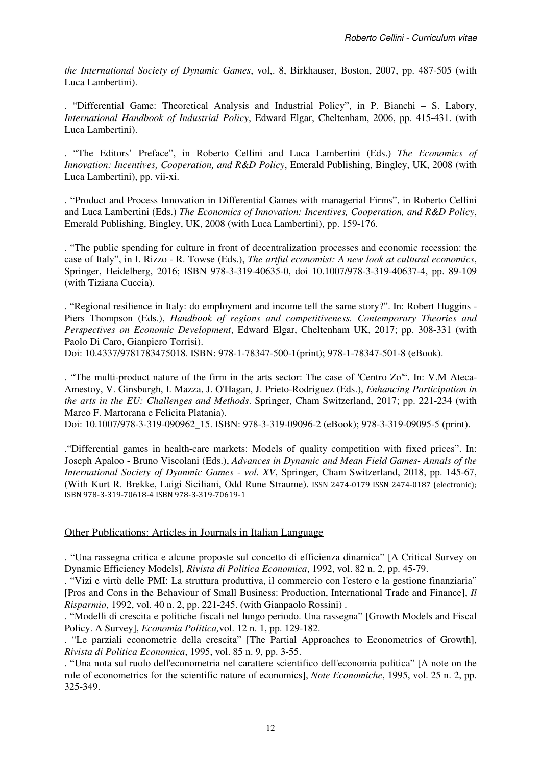*the International Society of Dynamic Games*, vol,. 8, Birkhauser, Boston, 2007, pp. 487-505 (with Luca Lambertini).

. "Differential Game: Theoretical Analysis and Industrial Policy", in P. Bianchi – S. Labory, *International Handbook of Industrial Policy*, Edward Elgar, Cheltenham, 2006, pp. 415-431. (with Luca Lambertini).

. "The Editors' Preface", in Roberto Cellini and Luca Lambertini (Eds.) *The Economics of Innovation: Incentives, Cooperation, and R&D Policy*, Emerald Publishing, Bingley, UK, 2008 (with Luca Lambertini), pp. vii-xi.

. "Product and Process Innovation in Differential Games with managerial Firms", in Roberto Cellini and Luca Lambertini (Eds.) *The Economics of Innovation: Incentives, Cooperation, and R&D Policy*, Emerald Publishing, Bingley, UK, 2008 (with Luca Lambertini), pp. 159-176.

. "The public spending for culture in front of decentralization processes and economic recession: the case of Italy", in I. Rizzo - R. Towse (Eds.), *The artful economist: A new look at cultural economics*, Springer, Heidelberg, 2016; ISBN 978-3-319-40635-0, doi 10.1007/978-3-319-40637-4, pp. 89-109 (with Tiziana Cuccia).

. "Regional resilience in Italy: do employment and income tell the same story?". In: Robert Huggins - Piers Thompson (Eds.), *Handbook of regions and competitiveness. Contemporary Theories and Perspectives on Economic Development*, Edward Elgar, Cheltenham UK, 2017; pp. 308-331 (with Paolo Di Caro, Gianpiero Torrisi).

Doi: 10.4337/9781783475018. ISBN: 978-1-78347-500-1(print); 978-1-78347-501-8 (eBook).

. "The multi-product nature of the firm in the arts sector: The case of 'Centro Zo'". In: V.M Ateca-Amestoy, V. Ginsburgh, I. Mazza, J. O'Hagan, J. Prieto-Rodriguez (Eds.), *Enhancing Participation in the arts in the EU: Challenges and Methods*. Springer, Cham Switzerland, 2017; pp. 221-234 (with Marco F. Martorana e Felicita Platania).

Doi: 10.1007/978-3-319-090962 15. ISBN: 978-3-319-09096-2 (eBook); 978-3-319-09095-5 (print).

."Differential games in health-care markets: Models of quality competition with fixed prices". In: Joseph Apaloo - Bruno Viscolani (Eds.), *Advances in Dynamic and Mean Field Games- Annals of the International Society of Dyanmic Games - vol. XV*, Springer, Cham Switzerland, 2018, pp. 145-67, (With Kurt R. Brekke, Luigi Siciliani, Odd Rune Straume). ISSN 2474-0179 ISSN 2474-0187 (electronic); ISBN 978-3-319-70618-4 ISBN 978-3-319-70619-1

### Other Publications: Articles in Journals in Italian Language

. "Una rassegna critica e alcune proposte sul concetto di efficienza dinamica" [A Critical Survey on Dynamic Efficiency Models], *Rivista di Politica Economica*, 1992, vol. 82 n. 2, pp. 45-79.

. "Vizi e virtù delle PMI: La struttura produttiva, il commercio con l'estero e la gestione finanziaria" [Pros and Cons in the Behaviour of Small Business: Production, International Trade and Finance], *Il Risparmio*, 1992, vol. 40 n. 2, pp. 221-245. (with Gianpaolo Rossini) .

. "Modelli di crescita e politiche fiscali nel lungo periodo. Una rassegna" [Growth Models and Fiscal Policy. A Survey], *Economia Politica,*vol. 12 n. 1, pp. 129-182.

. "Le parziali econometrie della crescita" [The Partial Approaches to Econometrics of Growth], *Rivista di Politica Economica*, 1995, vol. 85 n. 9, pp. 3-55.

. "Una nota sul ruolo dell'econometria nel carattere scientifico dell'economia politica" [A note on the role of econometrics for the scientific nature of economics], *Note Economiche*, 1995, vol. 25 n. 2, pp. 325-349.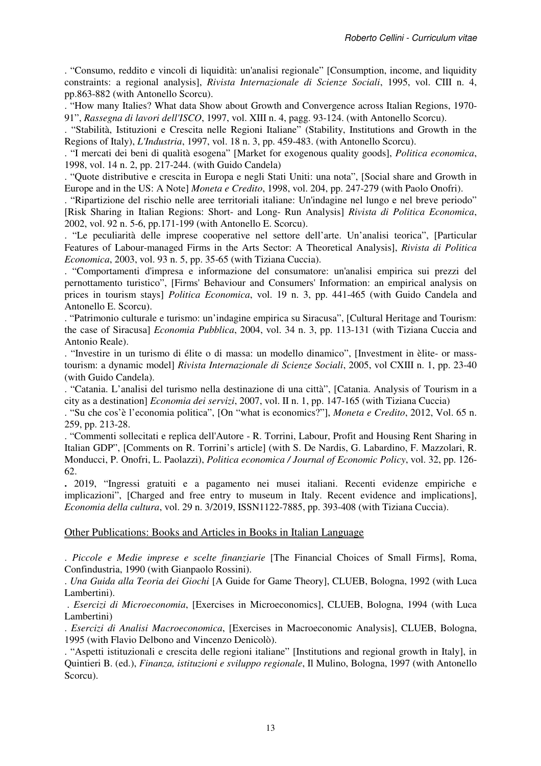. "Consumo, reddito e vincoli di liquidità: un'analisi regionale" [Consumption, income, and liquidity constraints: a regional analysis], *Rivista Internazionale di Scienze Sociali*, 1995, vol. CIII n. 4, pp.863-882 (with Antonello Scorcu).

. "How many Italies? What data Show about Growth and Convergence across Italian Regions, 1970- 91", *Rassegna di lavori dell'ISCO*, 1997, vol. XIII n. 4, pagg. 93-124. (with Antonello Scorcu).

. "Stabilità, Istituzioni e Crescita nelle Regioni Italiane" (Stability, Institutions and Growth in the Regions of Italy), *L'Industria*, 1997, vol. 18 n. 3, pp. 459-483. (with Antonello Scorcu).

. "I mercati dei beni di qualità esogena" [Market for exogenous quality goods], *Politica economica*, 1998, vol. 14 n. 2, pp. 217-244. (with Guido Candela)

. "Quote distributive e crescita in Europa e negli Stati Uniti: una nota", [Social share and Growth in Europe and in the US: A Note] *Moneta e Credito*, 1998, vol. 204, pp. 247-279 (with Paolo Onofri).

. "Ripartizione del rischio nelle aree territoriali italiane: Un'indagine nel lungo e nel breve periodo" [Risk Sharing in Italian Regions: Short- and Long- Run Analysis] *Rivista di Politica Economica*, 2002, vol. 92 n. 5-6, pp.171-199 (with Antonello E. Scorcu).

. "Le peculiarità delle imprese cooperative nel settore dell'arte. Un'analisi teorica", [Particular Features of Labour-managed Firms in the Arts Sector: A Theoretical Analysis], *Rivista di Politica Economica*, 2003, vol. 93 n. 5, pp. 35-65 (with Tiziana Cuccia).

. "Comportamenti d'impresa e informazione del consumatore: un'analisi empirica sui prezzi del pernottamento turistico", [Firms' Behaviour and Consumers' Information: an empirical analysis on prices in tourism stays] *Politica Economica*, vol. 19 n. 3, pp. 441-465 (with Guido Candela and Antonello E. Scorcu).

. "Patrimonio culturale e turismo: un'indagine empirica su Siracusa", [Cultural Heritage and Tourism: the case of Siracusa] *Economia Pubblica*, 2004, vol. 34 n. 3, pp. 113-131 (with Tiziana Cuccia and Antonio Reale).

. "Investire in un turismo di élite o di massa: un modello dinamico", [Investment in èlite- or masstourism: a dynamic model] *Rivista Internazionale di Scienze Sociali*, 2005, vol CXIII n. 1, pp. 23-40 (with Guido Candela).

. "Catania. L'analisi del turismo nella destinazione di una città", [Catania. Analysis of Tourism in a city as a destination] *Economia dei servizi*, 2007, vol. II n. 1, pp. 147-165 (with Tiziana Cuccia)

. "Su che cos'è l'economia politica", [On "what is economics?"], *Moneta e Credito*, 2012, Vol. 65 n. 259, pp. 213-28.

. "Commenti sollecitati e replica dell'Autore - R. Torrini, Labour, Profit and Housing Rent Sharing in Italian GDP", [Comments on R. Torrini's article] (with S. De Nardis, G. Labardino, F. Mazzolari, R. Monducci, P. Onofri, L. Paolazzi), *Politica economica / Journal of Economic Policy*, vol. 32, pp. 126- 62.

**.** 2019, "Ingressi gratuiti e a pagamento nei musei italiani. Recenti evidenze empiriche e implicazioni", [Charged and free entry to museum in Italy. Recent evidence and implications], *Economia della cultura*, vol. 29 n. 3/2019, ISSN1122-7885, pp. 393-408 (with Tiziana Cuccia).

#### Other Publications: Books and Articles in Books in Italian Language

. *Piccole e Medie imprese e scelte finanziarie* [The Financial Choices of Small Firms], Roma, Confindustria, 1990 (with Gianpaolo Rossini).

. *Una Guida alla Teoria dei Giochi* [A Guide for Game Theory], CLUEB, Bologna, 1992 (with Luca Lambertini).

 . *Esercizi di Microeconomia*, [Exercises in Microeconomics], CLUEB, Bologna, 1994 (with Luca Lambertini)

. *Esercizi di Analisi Macroeconomica*, [Exercises in Macroeconomic Analysis], CLUEB, Bologna, 1995 (with Flavio Delbono and Vincenzo Denicolò).

. "Aspetti istituzionali e crescita delle regioni italiane" [Institutions and regional growth in Italy], in Quintieri B. (ed.), *Finanza, istituzioni e sviluppo regionale*, Il Mulino, Bologna, 1997 (with Antonello Scorcu).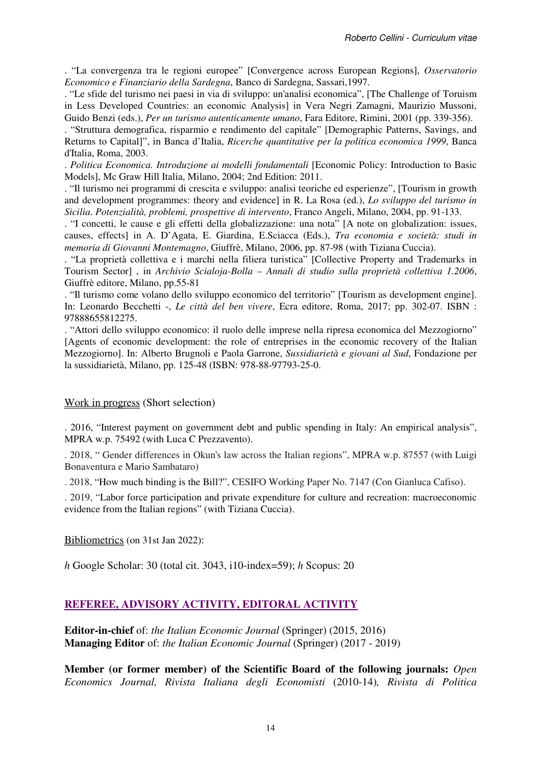. "La convergenza tra le regioni europee" [Convergence across European Regions], *Osservatorio Economico e Finanziario della Sardegna*, Banco di Sardegna, Sassari,1997.

. "Le sfide del turismo nei paesi in via di sviluppo: un'analisi economica", [The Challenge of Toruism in Less Developed Countries: an economic Analysis] in Vera Negri Zamagni, Maurizio Mussoni, Guido Benzi (eds.), *Per un turismo autenticamente umano*, Fara Editore, Rimini, 2001 (pp. 339-356).

. "Struttura demografica, risparmio e rendimento del capitale" [Demographic Patterns, Savings, and Returns to Capital]", in Banca d'Italia, *Ricerche quantitative per la politica economica 1999*, Banca d'Italia, Roma, 2003.

. *Politica Economica. Introduzione ai modelli fondamentali* [Economic Policy: Introduction to Basic Models], Mc Graw Hill Italia, Milano, 2004; 2nd Edition: 2011.

. "Il turismo nei programmi di crescita e sviluppo: analisi teoriche ed esperienze", [Tourism in growth and development programmes: theory and evidence] in R. La Rosa (ed.), *Lo sviluppo del turismo in Sicilia. Potenzialità, problemi, prospettive di intervento*, Franco Angeli, Milano, 2004, pp. 91-133.

. "I concetti, le cause e gli effetti della globalizzazione: una nota" [A note on globalization: issues, causes, effects] in A. D'Agata, E. Giardina, E.Sciacca (Eds.), *Tra economia e società: studi in memoria di Giovanni Montemagno*, Giuffrè, Milano, 2006, pp. 87-98 (with Tiziana Cuccia).

. "La proprietà collettiva e i marchi nella filiera turistica" [Collective Property and Trademarks in Tourism Sector] , in *Archivio Scialoja-Bolla – Annali di studio sulla proprietà collettiva 1.2006*, Giuffrè editore, Milano, pp.55-81

. "Il turismo come volano dello sviluppo economico del territorio" [Tourism as development engine]. In: Leonardo Becchetti -, *Le città del ben vivere*, Ecra editore, Roma, 2017; pp. 302-07. ISBN : 97888655812275.

. "Attori dello sviluppo economico: il ruolo delle imprese nella ripresa economica del Mezzogiorno" [Agents of economic development: the role of entreprises in the economic recovery of the Italian Mezzogiorno]. In: Alberto Brugnoli e Paola Garrone, *Sussidiarietà e giovani al Sud*, Fondazione per la sussidiarietà, Milano, pp. 125-48 (ISBN: 978-88-97793-25-0.

### Work in progress (Short selection)

. 2016, "Interest payment on government debt and public spending in Italy: An empirical analysis", MPRA w.p. 75492 (with Luca C Prezzavento).

. 2018, " Gender differences in Okun's law across the Italian regions", MPRA w.p. 87557 (with Luigi Bonaventura e Mario Sambataro)

. 2018, "How much binding is the Bill?", CESIFO Working Paper No. 7147 (Con Gianluca Cafiso).

. 2019, "Labor force participation and private expenditure for culture and recreation: macroeconomic evidence from the Italian regions" (with Tiziana Cuccia).

Bibliometrics (on 31st Jan 2022):

*h* Google Scholar: 30 (total cit. 3043, i10-index=59); *h* Scopus: 20

### **REFEREE, ADVISORY ACTIVITY, EDITORAL ACTIVITY**

**Editor-in-chief** of: *the Italian Economic Journal* (Springer) (2015, 2016) **Managing Editor** of: *the Italian Economic Journal* (Springer) (2017 - 2019)

**Member (or former member) of the Scientific Board of the following journals:** *Open Economics Journal, Rivista Italiana degli Economisti* (2010-14)*, Rivista di Politica*